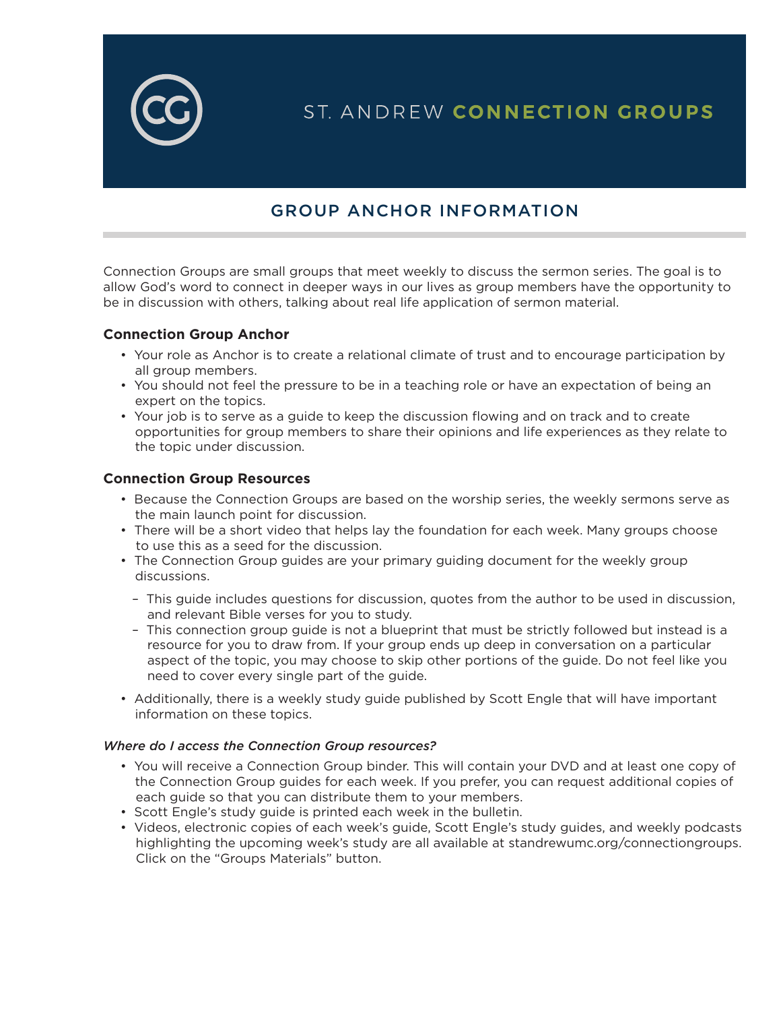

# ST. ANDREW CONNECTION GROUPS

## GROUP ANCHOR INFORMATION

Connection Groups are small groups that meet weekly to discuss the sermon series. The goal is to allow God's word to connect in deeper ways in our lives as group members have the opportunity to be in discussion with others, talking about real life application of sermon material.

#### **Connection Group Anchor**

- Your role as Anchor is to create a relational climate of trust and to encourage participation by all group members.
- You should not feel the pressure to be in a teaching role or have an expectation of being an expert on the topics.
- Your job is to serve as a guide to keep the discussion flowing and on track and to create opportunities for group members to share their opinions and life experiences as they relate to the topic under discussion.

#### **Connection Group Resources**

- Because the Connection Groups are based on the worship series, the weekly sermons serve as the main launch point for discussion.
- There will be a short video that helps lay the foundation for each week. Many groups choose to use this as a seed for the discussion.
- The Connection Group guides are your primary guiding document for the weekly group discussions.
	- This guide includes questions for discussion, quotes from the author to be used in discussion, and relevant Bible verses for you to study.
	- This connection group guide is not a blueprint that must be strictly followed but instead is a resource for you to draw from. If your group ends up deep in conversation on a particular aspect of the topic, you may choose to skip other portions of the guide. Do not feel like you need to cover every single part of the guide.
- Additionally, there is a weekly study guide published by Scott Engle that will have important information on these topics.

#### *Where do I access the Connection Group resources?*

- You will receive a Connection Group binder. This will contain your DVD and at least one copy of the Connection Group guides for each week. If you prefer, you can request additional copies of each guide so that you can distribute them to your members.
- Scott Engle's study guide is printed each week in the bulletin.
- Videos, electronic copies of each week's guide, Scott Engle's study guides, and weekly podcasts highlighting the upcoming week's study are all available at standrewumc.org/connectiongroups. Click on the "Groups Materials" button.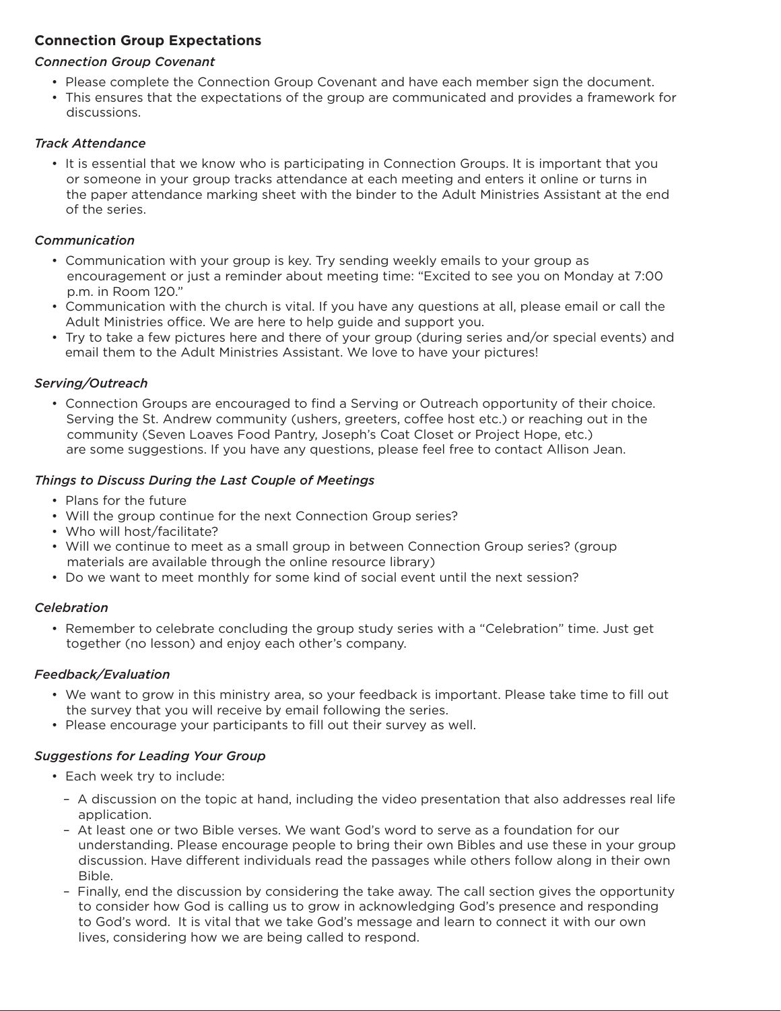### **Connection Group Expectations**

#### *Connection Group Covenant*

- Please complete the Connection Group Covenant and have each member sign the document.
- This ensures that the expectations of the group are communicated and provides a framework for discussions.

#### *Track Attendance*

• It is essential that we know who is participating in Connection Groups. It is important that you or someone in your group tracks attendance at each meeting and enters it online or turns in the paper attendance marking sheet with the binder to the Adult Ministries Assistant at the end of the series.

#### *Communication*

- Communication with your group is key. Try sending weekly emails to your group as encouragement or just a reminder about meeting time: "Excited to see you on Monday at 7:00 p.m. in Room 120."
- Communication with the church is vital. If you have any questions at all, please email or call the Adult Ministries office. We are here to help guide and support you.
- Try to take a few pictures here and there of your group (during series and/or special events) and email them to the Adult Ministries Assistant. We love to have your pictures!

#### *Serving/Outreach*

• Connection Groups are encouraged to find a Serving or Outreach opportunity of their choice. Serving the St. Andrew community (ushers, greeters, coffee host etc.) or reaching out in the community (Seven Loaves Food Pantry, Joseph's Coat Closet or Project Hope, etc.) are some suggestions. If you have any questions, please feel free to contact Allison Jean.

#### *Things to Discuss During the Last Couple of Meetings*

- Plans for the future
- Will the group continue for the next Connection Group series?
- Who will host/facilitate?
- Will we continue to meet as a small group in between Connection Group series? (group materials are available through the online resource library)
- Do we want to meet monthly for some kind of social event until the next session?

#### *Celebration*

• Remember to celebrate concluding the group study series with a "Celebration" time. Just get together (no lesson) and enjoy each other's company.

#### *Feedback/Evaluation*

- We want to grow in this ministry area, so your feedback is important. Please take time to fill out the survey that you will receive by email following the series.
- Please encourage your participants to fill out their survey as well.

#### *Suggestions for Leading Your Group*

- Each week try to include:
	- A discussion on the topic at hand, including the video presentation that also addresses real life application.
	- At least one or two Bible verses. We want God's word to serve as a foundation for our understanding. Please encourage people to bring their own Bibles and use these in your group discussion. Have different individuals read the passages while others follow along in their own Bible.
	- Finally, end the discussion by considering the take away. The call section gives the opportunity to consider how God is calling us to grow in acknowledging God's presence and responding to God's word. It is vital that we take God's message and learn to connect it with our own lives, considering how we are being called to respond.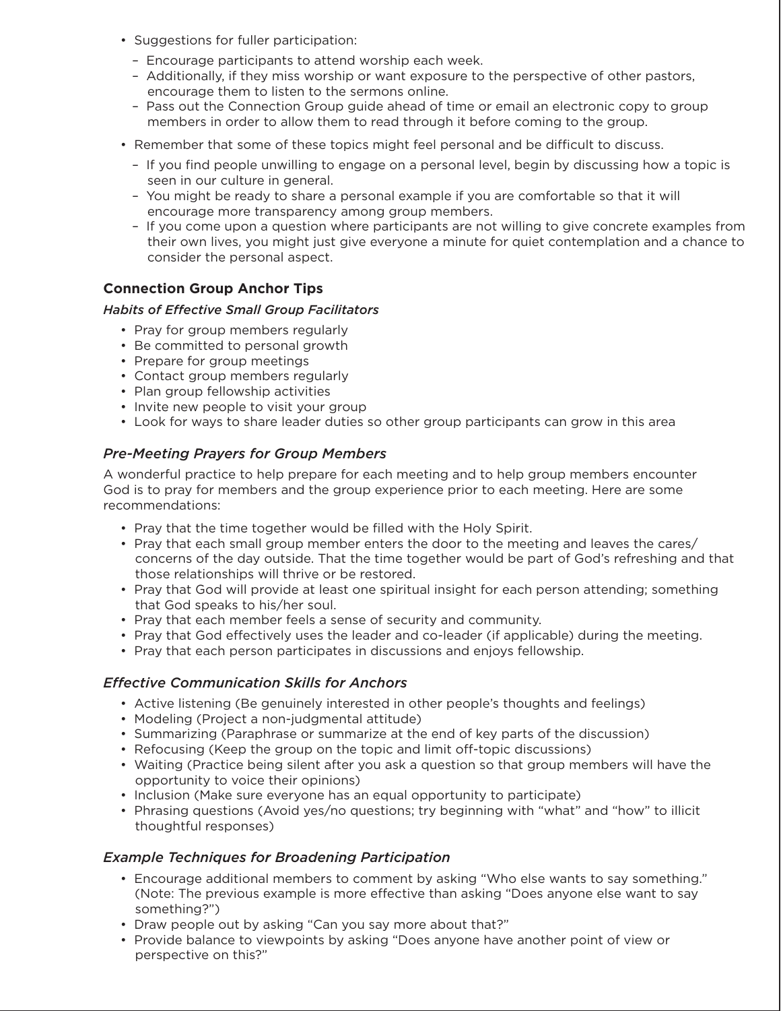- Suggestions for fuller participation:
	- Encourage participants to attend worship each week.
	- Additionally, if they miss worship or want exposure to the perspective of other pastors, encourage them to listen to the sermons online.
	- Pass out the Connection Group guide ahead of time or email an electronic copy to group members in order to allow them to read through it before coming to the group.
- Remember that some of these topics might feel personal and be difficult to discuss.
	- If you find people unwilling to engage on a personal level, begin by discussing how a topic is seen in our culture in general.
	- You might be ready to share a personal example if you are comfortable so that it will encourage more transparency among group members.
	- If you come upon a question where participants are not willing to give concrete examples from their own lives, you might just give everyone a minute for quiet contemplation and a chance to consider the personal aspect.

#### **Connection Group Anchor Tips**

#### *Habits of Effective Small Group Facilitators*

- Pray for group members regularly
- Be committed to personal growth
- Prepare for group meetings
- Contact group members regularly
- Plan group fellowship activities
- Invite new people to visit your group
- Look for ways to share leader duties so other group participants can grow in this area

#### *Pre-Meeting Prayers for Group Members*

A wonderful practice to help prepare for each meeting and to help group members encounter God is to pray for members and the group experience prior to each meeting. Here are some recommendations:

- Pray that the time together would be filled with the Holy Spirit.
- Pray that each small group member enters the door to the meeting and leaves the cares/ concerns of the day outside. That the time together would be part of God's refreshing and that those relationships will thrive or be restored.
- Pray that God will provide at least one spiritual insight for each person attending; something that God speaks to his/her soul.
- Pray that each member feels a sense of security and community.
- Pray that God effectively uses the leader and co-leader (if applicable) during the meeting.
- Pray that each person participates in discussions and enjoys fellowship.

#### *Effective Communication Skills for Anchors*

- Active listening (Be genuinely interested in other people's thoughts and feelings)
- Modeling (Project a non-judgmental attitude)
- Summarizing (Paraphrase or summarize at the end of key parts of the discussion)
- Refocusing (Keep the group on the topic and limit off-topic discussions)
- Waiting (Practice being silent after you ask a question so that group members will have the opportunity to voice their opinions)
- Inclusion (Make sure everyone has an equal opportunity to participate)
- Phrasing questions (Avoid yes/no questions; try beginning with "what" and "how" to illicit thoughtful responses)

#### *Example Techniques for Broadening Participation*

- Encourage additional members to comment by asking "Who else wants to say something." (Note: The previous example is more effective than asking "Does anyone else want to say something?")
- Draw people out by asking "Can you say more about that?"
- Provide balance to viewpoints by asking "Does anyone have another point of view or perspective on this?"